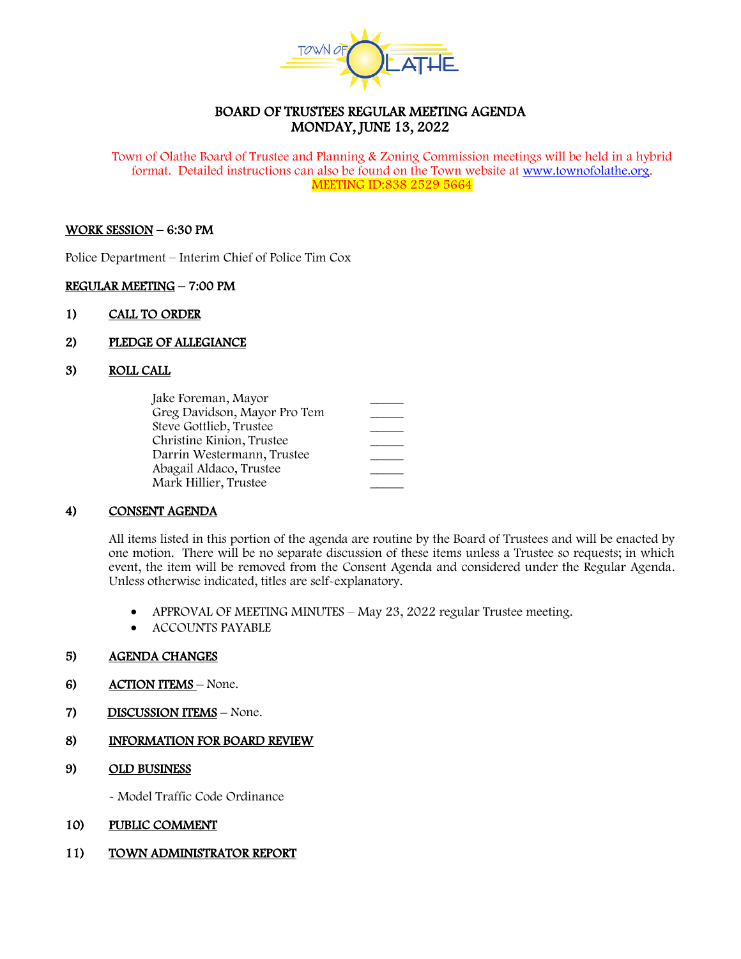

# BOARD OF TRUSTEES REGULAR MEETING AGENDA MONDAY, JUNE 13, 2022

Town of Olathe Board of Trustee and Planning & Zoning Commission meetings will be held in a hybrid format. Detailed instructions can also be found on the Town website at [www.townofolathe.org.](http://www.townofolathe.org/) MEETING ID:838 2529 5664

#### WORK SESSION – 6:30 PM

Police Department – Interim Chief of Police Tim Cox

### REGULAR MEETING – 7:00 PM

- 1) CALL TO ORDER
- 2) PLEDGE OF ALLEGIANCE
- 3) ROLL CALL

| Jake Foreman, Mayor          |  |
|------------------------------|--|
| Greg Davidson, Mayor Pro Tem |  |
| Steve Gottlieb, Trustee      |  |
| Christine Kinion, Trustee    |  |
| Darrin Westermann, Trustee   |  |
| Abagail Aldaco, Trustee      |  |
| Mark Hillier, Trustee        |  |

# 4) CONSENT AGENDA

All items listed in this portion of the agenda are routine by the Board of Trustees and will be enacted by one motion. There will be no separate discussion of these items unless a Trustee so requests; in which event, the item will be removed from the Consent Agenda and considered under the Regular Agenda. Unless otherwise indicated, titles are self-explanatory.

- APPROVAL OF MEETING MINUTES May 23, 2022 regular Trustee meeting.
- ACCOUNTS PAYABLE

# 5) AGENDA CHANGES

- 6) ACTION ITEMS None.
- 7) DISCUSSION ITEMS None.

# 8) INFORMATION FOR BOARD REVIEW

9) OLD BUSINESS

- Model Traffic Code Ordinance

# 10) PUBLIC COMMENT

11) TOWN ADMINISTRATOR REPORT